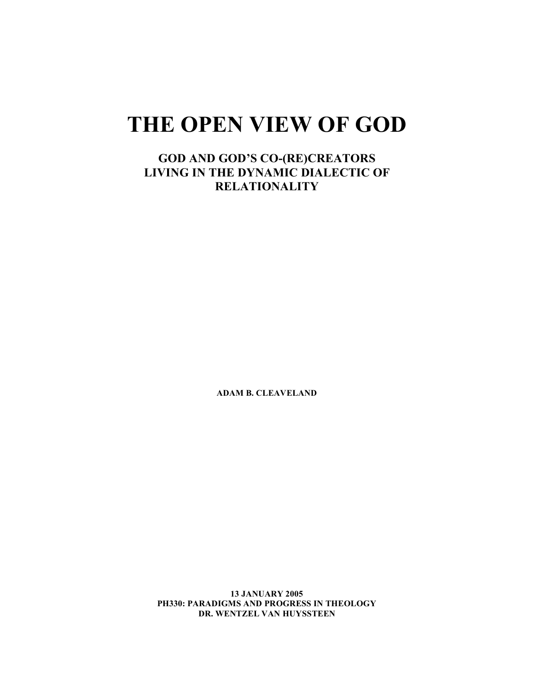# **THE OPEN VIEW OF GOD**

**GOD AND GOD'S CO-(RE)CREATORS LIVING IN THE DYNAMIC DIALECTIC OF RELATIONALITY**

**ADAM B. CLEAVELAND**

**13 JANUARY 2005 PH330: PARADIGMS AND PROGRESS IN THEOLOGY DR. WENTZEL VAN HUYSSTEEN**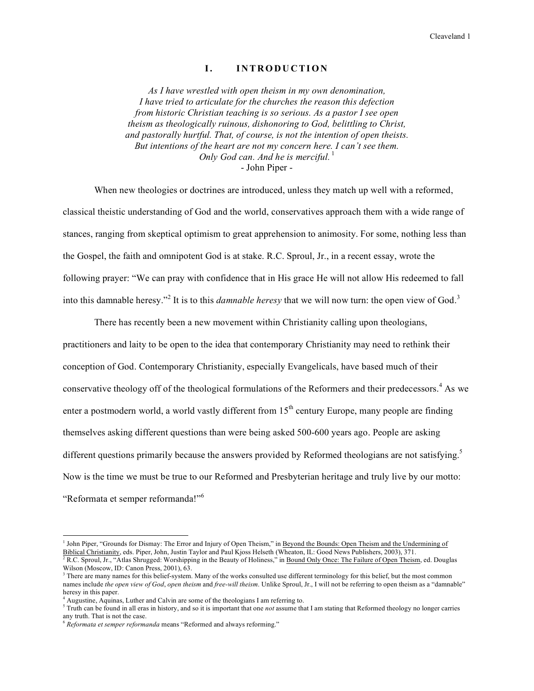### **I. IN T ROD U C TI ON**

*As I have wrestled with open theism in my own denomination, I have tried to articulate for the churches the reason this defection from historic Christian teaching is so serious. As a pastor I see open theism as theologically ruinous, dishonoring to God, belittling to Christ, and pastorally hurtful. That, of course, is not the intention of open theists. But intentions of the heart are not my concern here. I can't see them. Only God can. And he is merciful.* 1 - John Piper -

When new theologies or doctrines are introduced, unless they match up well with a reformed, classical theistic understanding of God and the world, conservatives approach them with a wide range of stances, ranging from skeptical optimism to great apprehension to animosity. For some, nothing less than the Gospel, the faith and omnipotent God is at stake. R.C. Sproul, Jr., in a recent essay, wrote the following prayer: "We can pray with confidence that in His grace He will not allow His redeemed to fall into this damnable heresy."<sup>2</sup> It is to this *damnable heresy* that we will now turn: the open view of God. 3

There has recently been a new movement within Christianity calling upon theologians, practitioners and laity to be open to the idea that contemporary Christianity may need to rethink their conception of God. Contemporary Christianity, especially Evangelicals, have based much of their conservative theology off of the theological formulations of the Reformers and their predecessors. <sup>4</sup> As we enter a postmodern world, a world vastly different from  $15<sup>th</sup>$  century Europe, many people are finding themselves asking different questions than were being asked 500-600 years ago. People are asking different questions primarily because the answers provided by Reformed theologians are not satisfying.<sup>5</sup> Now is the time we must be true to our Reformed and Presbyterian heritage and truly live by our motto: "Reformata et semper reformanda!"<sup>6</sup>

<sup>&</sup>lt;sup>1</sup> John Piper, "Grounds for Dismay: The Error and Injury of Open Theism," in Beyond the Bounds: Open Theism and the Undermining of Biblical Christianity, eds. Piper, John, Justin Taylor and Paul Kjoss Helseth (Wheaton, IL: Good News Publishers, 2003), 371. <sup>2</sup> R.C. Sproul, Jr., "Atlas Shrugged: Worshipping in the Beauty of Holiness," in Bound Only Once: The Failure of Open Theism, ed. Douglas

Wilson (Moscow, ID: Canon Press, 2001), 63.  $3$  There are many names for this belief-system. Many of the works consulted use different terminology for this belief, but the most common

names include *the open view of God*, *open theism* and *free-will theism*. Unlike Sproul, Jr., I will not be referring to open theism as a "damnable" heresy in this paper.

<sup>4</sup> Augustine, Aquinas, Luther and Calvin are some of the theologians I am referring to.

<sup>5</sup> Truth can be found in all eras in history, and so it is important that one *not* assume that I am stating that Reformed theology no longer carries any truth. That is not the case.

<sup>6</sup> *Reformata et semper reformanda* means "Reformed and always reforming."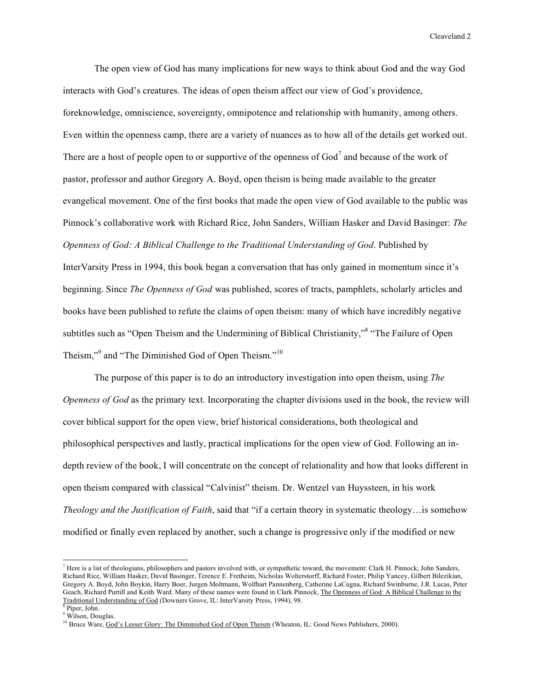The open view of God has many implications for new ways to think about God and the way God interacts with God's creatures. The ideas of open theism affect our view of God's providence, foreknowledge, omniscience, sovereignty, omnipotence and relationship with humanity, among others. Even within the openness camp, there are a variety of nuances as to how all of the details get worked out. There are a host of people open to or supportive of the openness of God<sup>7</sup> and because of the work of pastor, professor and author Gregory A. Boyd, open theism is being made available to the greater evangelical movement. One of the first books that made the open view of God available to the public was Pinnock's collaborative work with Richard Rice, John Sanders, William Hasker and David Basinger: *The Openness of God: A Biblical Challenge to the Traditional Understanding of God*. Published by InterVarsity Press in 1994, this book began a conversation that has only gained in momentum since it's beginning. Since *The Openness of God* was published, scores of tracts, pamphlets, scholarly articles and books have been published to refute the claims of open theism: many of which have incredibly negative subtitles such as "Open Theism and the Undermining of Biblical Christianity," <sup>8</sup> "The Failure of Open Theism,"<sup>9</sup> and "The Diminished God of Open Theism."<sup>10</sup>

The purpose of this paper is to do an introductory investigation into open theism, using *The Openness of God* as the primary text. Incorporating the chapter divisions used in the book, the review will cover biblical support for the open view, brief historical considerations, both theological and philosophical perspectives and lastly, practical implications for the open view of God. Following an indepth review of the book, I will concentrate on the concept of relationality and how that looks different in open theism compared with classical "Calvinist" theism. Dr. Wentzel van Huyssteen, in his work *Theology and the Justification of Faith*, said that "if a certain theory in systematic theology…is somehow modified or finally even replaced by another, such a change is progressive only if the modified or new

 $<sup>7</sup>$  Here is a list of theologians, philosophers and pastors involved with, or sympathetic toward, the movement: Clark H. Pinnock, John Sanders,</sup> Richard Rice, William Hasker, David Basinger, Terence E. Fretheim, Nicholas Wolterstorff, Richard Foster, Philip Yancey, Gilbert Bilezikian, Gregory A. Boyd, John Boykin, Harry Boer, Jurgen Moltmann, Wolfhart Pannenberg, Catherine LaCugna, Richard Swinburne, J.R. Lucas, Peter Geach, Richard Purtill and Keith Ward. Many of these names were found in Clark Pinnock, The Openness of God: A Biblical Challenge to the Traditional Understanding of God (Downers Grove, IL: InterVarsity Press, 1994), 98.

Piper, John. <sup>9</sup> Wilson, Douglas.

<sup>&</sup>lt;sup>10</sup> Bruce Ware, God's Lesser Glory: The Diminished God of Open Theism (Wheaton, IL: Good News Publishers, 2000).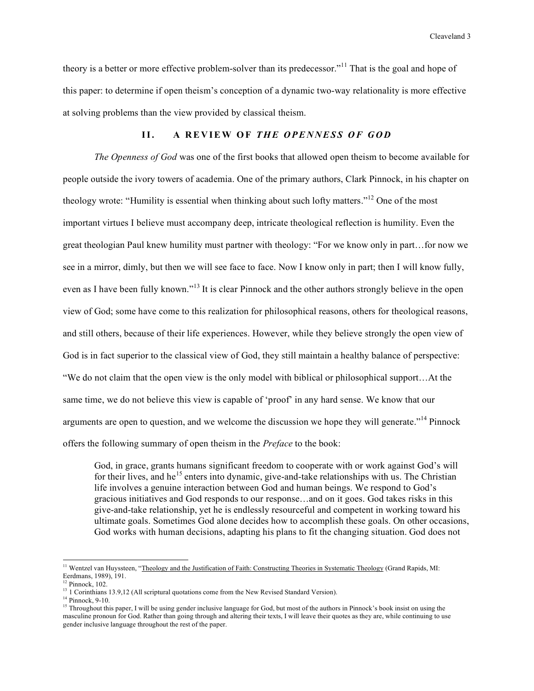theory is a better or more effective problem-solver than its predecessor."<sup>11</sup> That is the goal and hope of this paper: to determine if open theism's conception of a dynamic two-way relationality is more effective at solving problems than the view provided by classical theism.

## **II. A R E V IEW OF** *THE O PE N N ES S O F G O D*

*The Openness of God* was one of the first books that allowed open theism to become available for people outside the ivory towers of academia. One of the primary authors, Clark Pinnock, in his chapter on theology wrote: "Humility is essential when thinking about such lofty matters."<sup>12</sup> One of the most important virtues I believe must accompany deep, intricate theological reflection is humility. Even the great theologian Paul knew humility must partner with theology: "For we know only in part…for now we see in a mirror, dimly, but then we will see face to face. Now I know only in part; then I will know fully, even as I have been fully known."<sup>13</sup> It is clear Pinnock and the other authors strongly believe in the open view of God; some have come to this realization for philosophical reasons, others for theological reasons, and still others, because of their life experiences. However, while they believe strongly the open view of God is in fact superior to the classical view of God, they still maintain a healthy balance of perspective: "We do not claim that the open view is the only model with biblical or philosophical support…At the same time, we do not believe this view is capable of 'proof' in any hard sense. We know that our arguments are open to question, and we welcome the discussion we hope they will generate."<sup>14</sup> Pinnock offers the following summary of open theism in the *Preface* to the book:

God, in grace, grants humans significant freedom to cooperate with or work against God's will for their lives, and he<sup>15</sup> enters into dynamic, give-and-take relationships with us. The Christian life involves a genuine interaction between God and human beings. We respond to God's gracious initiatives and God responds to our response…and on it goes. God takes risks in this give-and-take relationship, yet he is endlessly resourceful and competent in working toward his ultimate goals. Sometimes God alone decides how to accomplish these goals. On other occasions, God works with human decisions, adapting his plans to fit the changing situation. God does not

<sup>&</sup>lt;sup>11</sup> Wentzel van Huyssteen, "Theology and the Justification of Faith: Constructing Theories in Systematic Theology (Grand Rapids, MI: Eerdmans, 1989), 191.

 $12$  Pinnock,  $102$ .

<sup>&</sup>lt;sup>13</sup> 1 Corinthians 13.9,12 (All scriptural quotations come from the New Revised Standard Version).

<sup>&</sup>lt;sup>14</sup> Pinnock, 9-10.

<sup>&</sup>lt;sup>15</sup> Throughout this paper, I will be using gender inclusive language for God, but most of the authors in Pinnock's book insist on using the masculine pronoun for God. Rather than going through and altering their texts, I will leave their quotes as they are, while continuing to use gender inclusive language throughout the rest of the paper.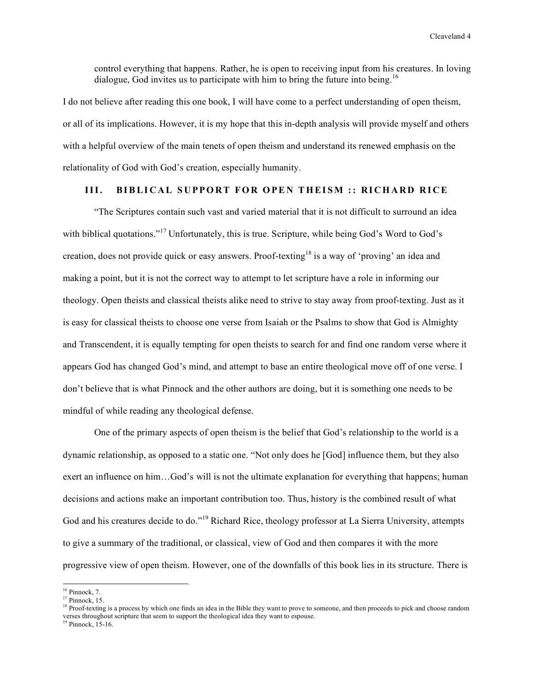control everything that happens. Rather, he is open to receiving input from his creatures. In loving dialogue, God invites us to participate with him to bring the future into being.<sup>16</sup>

I do not believe after reading this one book, I will have come to a perfect understanding of open theism, or all of its implications. However, it is my hope that this in-depth analysis will provide myself and others with a helpful overview of the main tenets of open theism and understand its renewed emphasis on the relationality of God with God's creation, especially humanity.

## III. BIBLICAL SUPPORT FOR OPEN THEISM :: RICHARD RICE

"The Scriptures contain such vast and varied material that it is not difficult to surround an idea with biblical quotations."<sup>17</sup> Unfortunately, this is true. Scripture, while being God's Word to God's creation, does not provide quick or easy answers. Proof-texting <sup>18</sup> is a way of 'proving' an idea and making a point, but it is not the correct way to attempt to let scripture have a role in informing our theology. Open theists and classical theists alike need to strive to stay away from proof-texting. Just as it is easy for classical theists to choose one verse from Isaiah or the Psalms to show that God is Almighty and Transcendent, it is equally tempting for open theists to search for and find one random verse where it appears God has changed God's mind, and attempt to base an entire theological move off of one verse. I don't believe that is what Pinnock and the other authors are doing, but it is something one needs to be mindful of while reading any theological defense.

One of the primary aspects of open theism is the belief that God's relationship to the world is a dynamic relationship, as opposed to a static one. "Not only does he [God] influence them, but they also exert an influence on him…God's will is not the ultimate explanation for everything that happens; human decisions and actions make an important contribution too. Thus, history is the combined result of what God and his creatures decide to do."<sup>19</sup> Richard Rice, theology professor at La Sierra University, attempts to give a summary of the traditional, or classical, view of God and then compares it with the more progressive view of open theism. However, one of the downfalls of this book lies in its structure. There is

 $16$  Pinnock, 7.

 $17$  Pinnock, 15.

<sup>&</sup>lt;sup>18</sup> Proof-texting is a process by which one finds an idea in the Bible they want to prove to someone, and then proceeds to pick and choose random verses throughout scripture that seem to support the theological idea they want to espouse.

<sup>&</sup>lt;sup>19</sup> Pinnock, 15-16.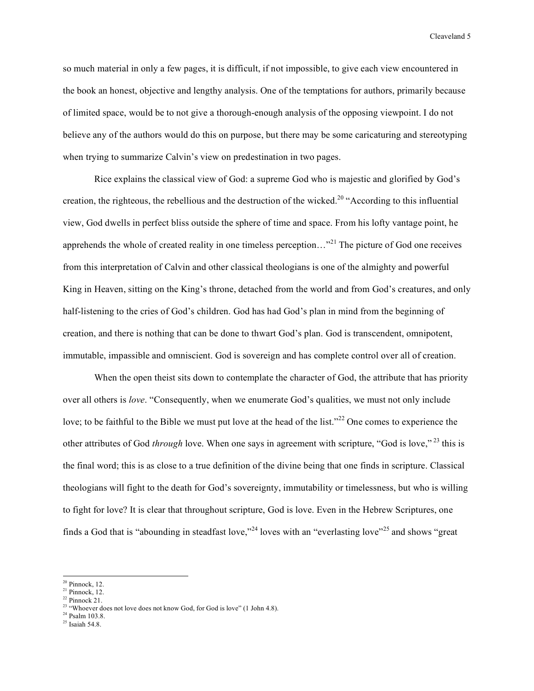so much material in only a few pages, it is difficult, if not impossible, to give each view encountered in the book an honest, objective and lengthy analysis. One of the temptations for authors, primarily because of limited space, would be to not give a thorough-enough analysis of the opposing viewpoint. I do not believe any of the authors would do this on purpose, but there may be some caricaturing and stereotyping when trying to summarize Calvin's view on predestination in two pages.

Rice explains the classical view of God: a supreme God who is majestic and glorified by God's creation, the righteous, the rebellious and the destruction of the wicked.<sup>20</sup> "According to this influential view, God dwells in perfect bliss outside the sphere of time and space. From his lofty vantage point, he apprehends the whole of created reality in one timeless perception…"<sup>21</sup> The picture of God one receives from this interpretation of Calvin and other classical theologians is one of the almighty and powerful King in Heaven, sitting on the King's throne, detached from the world and from God's creatures, and only half-listening to the cries of God's children. God has had God's plan in mind from the beginning of creation, and there is nothing that can be done to thwart God's plan. God is transcendent, omnipotent, immutable, impassible and omniscient. God is sovereign and has complete control over all of creation.

When the open theist sits down to contemplate the character of God, the attribute that has priority over all others is *love*. "Consequently, when we enumerate God's qualities, we must not only include love; to be faithful to the Bible we must put love at the head of the list."<sup>22</sup> One comes to experience the other attributes of God *through* love. When one says in agreement with scripture, "God is love," <sup>23</sup> this is the final word; this is as close to a true definition of the divine being that one finds in scripture. Classical theologians will fight to the death for God's sovereignty, immutability or timelessness, but who is willing to fight for love? It is clear that throughout scripture, God is love. Even in the Hebrew Scriptures, one finds a God that is "abounding in steadfast love,"<sup>24</sup> loves with an "everlasting love"<sup>25</sup> and shows "great"

 $20$  Pinnock, 12.

 $21$  Pinnock, 12.  $22$  Pinnock 21.

<sup>&</sup>lt;sup>23</sup> "Whoever does not love does not know God, for God is love" (1 John 4.8).

<sup>24</sup> Psalm 103.8.

 $^{\rm 25}$  Isaiah 54.8.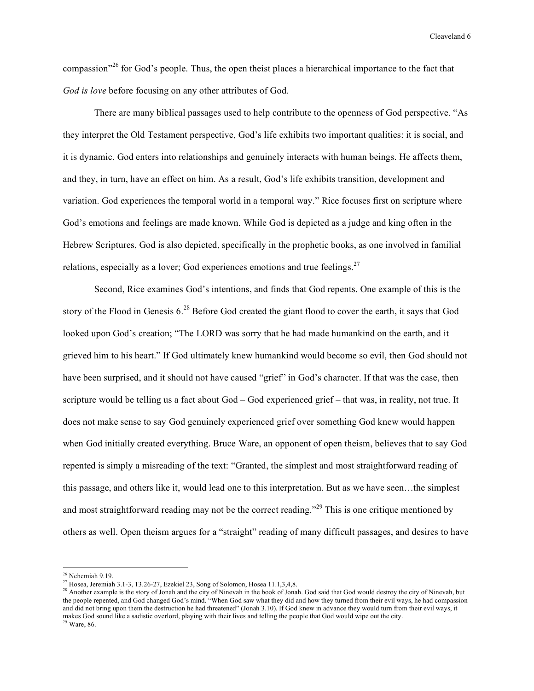compassion"<sup>26</sup> for God's people. Thus, the open theist places a hierarchical importance to the fact that *God is love* before focusing on any other attributes of God.

There are many biblical passages used to help contribute to the openness of God perspective. "As they interpret the Old Testament perspective, God's life exhibits two important qualities: it is social, and it is dynamic. God enters into relationships and genuinely interacts with human beings. He affects them, and they, in turn, have an effect on him. As a result, God's life exhibits transition, development and variation. God experiences the temporal world in a temporal way." Rice focuses first on scripture where God's emotions and feelings are made known. While God is depicted as a judge and king often in the Hebrew Scriptures, God is also depicted, specifically in the prophetic books, as one involved in familial relations, especially as a lover; God experiences emotions and true feelings.<sup>27</sup>

Second, Rice examines God's intentions, and finds that God repents. One example of this is the story of the Flood in Genesis 6.<sup>28</sup> Before God created the giant flood to cover the earth, it says that God looked upon God's creation; "The LORD was sorry that he had made humankind on the earth, and it grieved him to his heart." If God ultimately knew humankind would become so evil, then God should not have been surprised, and it should not have caused "grief" in God's character. If that was the case, then scripture would be telling us a fact about God – God experienced grief – that was, in reality, not true. It does not make sense to say God genuinely experienced grief over something God knew would happen when God initially created everything. Bruce Ware, an opponent of open theism, believes that to say God repented is simply a misreading of the text: "Granted, the simplest and most straightforward reading of this passage, and others like it, would lead one to this interpretation. But as we have seen…the simplest and most straightforward reading may not be the correct reading."<sup>29</sup> This is one critique mentioned by others as well. Open theism argues for a "straight" reading of many difficult passages, and desires to have

 $26$  Nehemiah 9.19.

<sup>&</sup>lt;sup>27</sup> Hosea, Jeremiah 3.1-3, 13.26-27, Ezekiel 23, Song of Solomon, Hosea 11.1,3,4,8.

<sup>&</sup>lt;sup>28</sup> Another example is the story of Jonah and the city of Ninevah in the book of Jonah. God said that God would destroy the city of Ninevah, but the people repented, and God changed God's mind. "When God saw what they did and how they turned from their evil ways, he had compassion and did not bring upon them the destruction he had threatened" (Jonah 3.10). If God knew in advance they would turn from their evil ways, it makes God sound like a sadistic overlord, playing with their lives and telling the people that God would wipe out the city.  $29$  Ware, 86.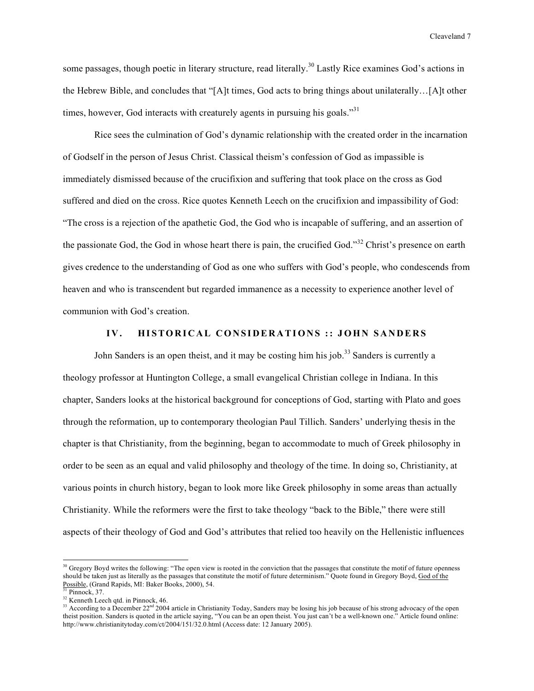some passages, though poetic in literary structure, read literally.<sup>30</sup> Lastly Rice examines God's actions in the Hebrew Bible, and concludes that "[A]t times, God acts to bring things about unilaterally…[A]t other times, however, God interacts with creaturely agents in pursuing his goals."<sup>31</sup>

Rice sees the culmination of God's dynamic relationship with the created order in the incarnation of Godself in the person of Jesus Christ. Classical theism's confession of God as impassible is immediately dismissed because of the crucifixion and suffering that took place on the cross as God suffered and died on the cross. Rice quotes Kenneth Leech on the crucifixion and impassibility of God: "The cross is a rejection of the apathetic God, the God who is incapable of suffering, and an assertion of the passionate God, the God in whose heart there is pain, the crucified God."<sup>32</sup> Christ's presence on earth gives credence to the understanding of God as one who suffers with God's people, who condescends from heaven and who is transcendent but regarded immanence as a necessity to experience another level of communion with God's creation.

## IV. HISTORICAL CONSIDERATIONS :: JOHN SANDERS

John Sanders is an open theist, and it may be costing him his job.<sup>33</sup> Sanders is currently a theology professor at Huntington College, a small evangelical Christian college in Indiana. In this chapter, Sanders looks at the historical background for conceptions of God, starting with Plato and goes through the reformation, up to contemporary theologian Paul Tillich. Sanders' underlying thesis in the chapter is that Christianity, from the beginning, began to accommodate to much of Greek philosophy in order to be seen as an equal and valid philosophy and theology of the time. In doing so, Christianity, at various points in church history, began to look more like Greek philosophy in some areas than actually Christianity. While the reformers were the first to take theology "back to the Bible," there were still aspects of their theology of God and God's attributes that relied too heavily on the Hellenistic influences

 $30$  Gregory Boyd writes the following: "The open view is rooted in the conviction that the passages that constitute the motif of future openness should be taken just as literally as the passages that constitute the motif of future determinism." Quote found in Gregory Boyd, God of the Possible, (Grand Rapids, MI: Baker Books, 2000), 54.  $31$  Pinnock, 37.

<sup>&</sup>lt;sup>32</sup> Kenneth Leech qtd. in Pinnock, 46.

<sup>&</sup>lt;sup>33</sup> According to a December  $22<sup>nd</sup> 2004$  article in Christianity Today, Sanders may be losing his job because of his strong advocacy of the open theist position. Sanders is quoted in the article saying, "You can be an open theist. You just can't be a well-known one." Article found online: http://www.christianitytoday.com/ct/2004/151/32.0.html (Access date: 12 January 2005).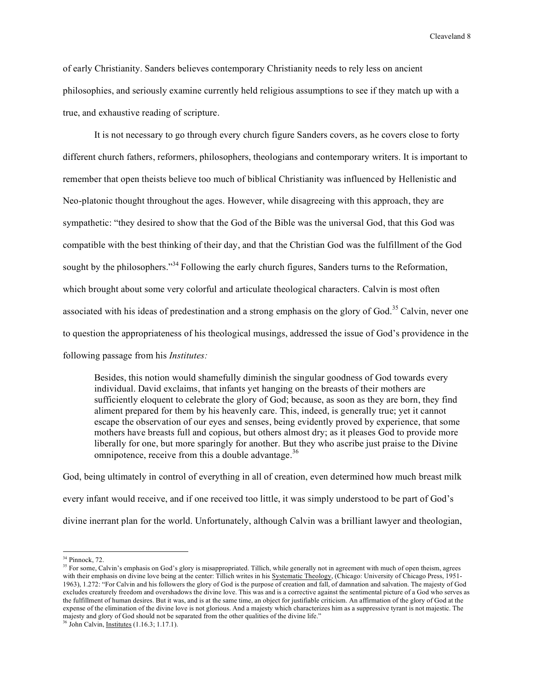of early Christianity. Sanders believes contemporary Christianity needs to rely less on ancient philosophies, and seriously examine currently held religious assumptions to see if they match up with a true, and exhaustive reading of scripture.

It is not necessary to go through every church figure Sanders covers, as he covers close to forty different church fathers, reformers, philosophers, theologians and contemporary writers. It is important to remember that open theists believe too much of biblical Christianity was influenced by Hellenistic and Neo-platonic thought throughout the ages. However, while disagreeing with this approach, they are sympathetic: "they desired to show that the God of the Bible was the universal God, that this God was compatible with the best thinking of their day, and that the Christian God was the fulfillment of the God sought by the philosophers."<sup>34</sup> Following the early church figures, Sanders turns to the Reformation, which brought about some very colorful and articulate theological characters. Calvin is most often associated with his ideas of predestination and a strong emphasis on the glory of God.<sup>35</sup> Calvin, never one to question the appropriateness of his theological musings, addressed the issue of God's providence in the following passage from his *Institutes:*

Besides, this notion would shamefully diminish the singular goodness of God towards every individual. David exclaims, that infants yet hanging on the breasts of their mothers are sufficiently eloquent to celebrate the glory of God; because, as soon as they are born, they find aliment prepared for them by his heavenly care. This, indeed, is generally true; yet it cannot escape the observation of our eyes and senses, being evidently proved by experience, that some mothers have breasts full and copious, but others almost dry; as it pleases God to provide more liberally for one, but more sparingly for another. But they who ascribe just praise to the Divine omnipotence, receive from this a double advantage.<sup>36</sup>

God, being ultimately in control of everything in all of creation, even determined how much breast milk every infant would receive, and if one received too little, it was simply understood to be part of God's divine inerrant plan for the world. Unfortunately, although Calvin was a brilliant lawyer and theologian,

<sup>&</sup>lt;sup>34</sup> Pinnock, 72.

<sup>&</sup>lt;sup>35</sup> For some, Calvin's emphasis on God's glory is misappropriated. Tillich, while generally not in agreement with much of open theism, agrees with their emphasis on divine love being at the center: Tillich writes in his Systematic Theology, (Chicago: University of Chicago Press, 1951-1963), 1.272: "For Calvin and his followers the glory of God is the purpose of creation and fall, of damnation and salvation. The majesty of God excludes creaturely freedom and overshadows the divine love. This was and is a corrective against the sentimental picture of a God who serves as the fulfillment of human desires. But it was, and is at the same time, an object for justifiable criticism. An affirmation of the glory of God at the expense of the elimination of the divine love is not glorious. And a majesty which characterizes him as a suppressive tyrant is not majestic. The majesty and glory of God should not be separated from the other qualities of the divine life."

<sup>36</sup> John Calvin, Institutes (1.16.3; 1.17.1).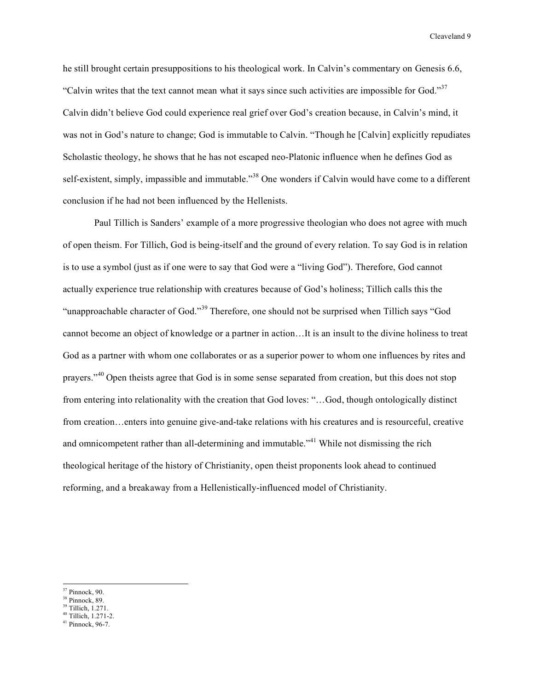he still brought certain presuppositions to his theological work. In Calvin's commentary on Genesis 6.6, "Calvin writes that the text cannot mean what it says since such activities are impossible for God."<sup>37</sup> Calvin didn't believe God could experience real grief over God's creation because, in Calvin's mind, it was not in God's nature to change; God is immutable to Calvin. "Though he [Calvin] explicitly repudiates Scholastic theology, he shows that he has not escaped neo-Platonic influence when he defines God as self-existent, simply, impassible and immutable."<sup>38</sup> One wonders if Calvin would have come to a different conclusion if he had not been influenced by the Hellenists.

Paul Tillich is Sanders' example of a more progressive theologian who does not agree with much of open theism. For Tillich, God is being-itself and the ground of every relation. To say God is in relation is to use a symbol (just as if one were to say that God were a "living God"). Therefore, God cannot actually experience true relationship with creatures because of God's holiness; Tillich calls this the "unapproachable character of God."<sup>39</sup> Therefore, one should not be surprised when Tillich says "God cannot become an object of knowledge or a partner in action…It is an insult to the divine holiness to treat God as a partner with whom one collaborates or as a superior power to whom one influences by rites and prayers."<sup>40</sup> Open theists agree that God is in some sense separated from creation, but this does not stop from entering into relationality with the creation that God loves: "…God, though ontologically distinct from creation…enters into genuine give-and-take relations with his creatures and is resourceful, creative and omnicompetent rather than all-determining and immutable."<sup>41</sup> While not dismissing the rich theological heritage of the history of Christianity, open theist proponents look ahead to continued reforming, and a breakaway from a Hellenistically-influenced model of Christianity.

 $37$  Pinnock, 90.

 $38$  Pinnock, 89.

<sup>39</sup> Tillich, 1.271.

 $40$  Tillich,  $1.271-2$ .

<sup>41</sup> Pinnock, 96-7.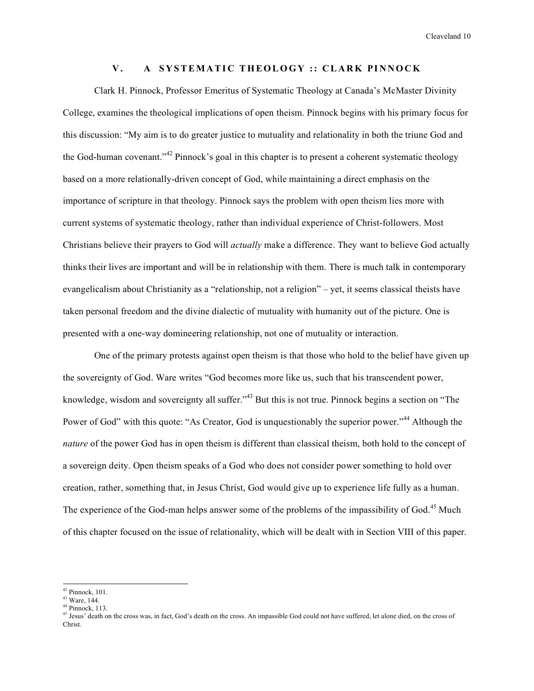### **V . A S Y STEMA TI C THEOLOGY :: C L A R K PI N NOCK**

Clark H. Pinnock, Professor Emeritus of Systematic Theology at Canada's McMaster Divinity College, examines the theological implications of open theism. Pinnock begins with his primary focus for this discussion: "My aim is to do greater justice to mutuality and relationality in both the triune God and the God-human covenant."<sup>42</sup> Pinnock's goal in this chapter is to present a coherent systematic theology based on a more relationally-driven concept of God, while maintaining a direct emphasis on the importance of scripture in that theology. Pinnock says the problem with open theism lies more with current systems of systematic theology, rather than individual experience of Christ-followers. Most Christians believe their prayers to God will *actually* make a difference. They want to believe God actually thinks their lives are important and will be in relationship with them. There is much talk in contemporary evangelicalism about Christianity as a "relationship, not a religion" – yet, it seems classical theists have taken personal freedom and the divine dialectic of mutuality with humanity out of the picture. One is presented with a one-way domineering relationship, not one of mutuality or interaction.

One of the primary protests against open theism is that those who hold to the belief have given up the sovereignty of God. Ware writes "God becomes more like us, such that his transcendent power, knowledge, wisdom and sovereignty all suffer."<sup>43</sup> But this is not true. Pinnock begins a section on "The Power of God" with this quote: "As Creator, God is unquestionably the superior power."<sup>44</sup> Although the *nature* of the power God has in open theism is different than classical theism, both hold to the concept of a sovereign deity. Open theism speaks of a God who does not consider power something to hold over creation, rather, something that, in Jesus Christ, God would give up to experience life fully as a human. The experience of the God-man helps answer some of the problems of the impassibility of God.<sup>45</sup> Much of this chapter focused on the issue of relationality, which will be dealt with in Section VIII of this paper.

 $42$  Pinnock, 101.

<sup>43</sup> Ware, 144.

 $44$  Pinnock, 113.

<sup>&</sup>lt;sup>45</sup> Jesus' death on the cross was, in fact, God's death on the cross. An impassible God could not have suffered, let alone died, on the cross of Christ.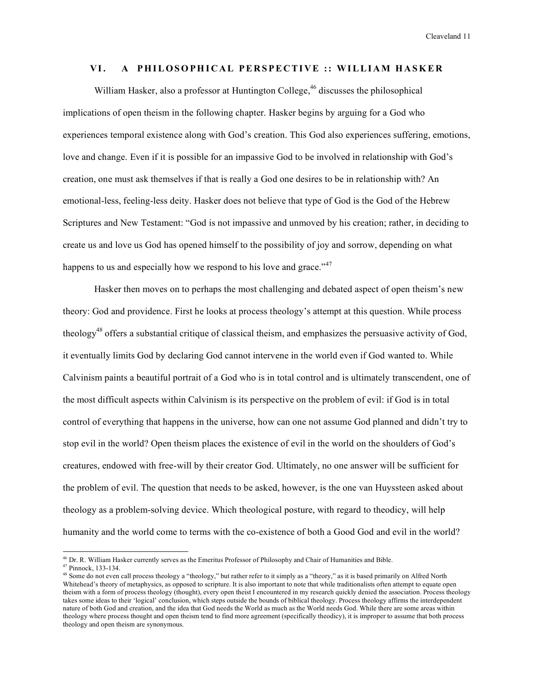#### **VI. A PHILOSOPHI C A L PE R S PE C TI V E :: WILLI AM HA SKE R**

William Hasker, also a professor at Huntington College,<sup>46</sup> discusses the philosophical implications of open theism in the following chapter. Hasker begins by arguing for a God who experiences temporal existence along with God's creation. This God also experiences suffering, emotions, love and change. Even if it is possible for an impassive God to be involved in relationship with God's creation, one must ask themselves if that is really a God one desires to be in relationship with? An emotional-less, feeling-less deity. Hasker does not believe that type of God is the God of the Hebrew Scriptures and New Testament: "God is not impassive and unmoved by his creation; rather, in deciding to create us and love us God has opened himself to the possibility of joy and sorrow, depending on what happens to us and especially how we respond to his love and grace." $47$ 

Hasker then moves on to perhaps the most challenging and debated aspect of open theism's new theory: God and providence. First he looks at process theology's attempt at this question. While process theology<sup>48</sup> offers a substantial critique of classical theism, and emphasizes the persuasive activity of God, it eventually limits God by declaring God cannot intervene in the world even if God wanted to. While Calvinism paints a beautiful portrait of a God who is in total control and is ultimately transcendent, one of the most difficult aspects within Calvinism is its perspective on the problem of evil: if God is in total control of everything that happens in the universe, how can one not assume God planned and didn't try to stop evil in the world? Open theism places the existence of evil in the world on the shoulders of God's creatures, endowed with free-will by their creator God. Ultimately, no one answer will be sufficient for the problem of evil. The question that needs to be asked, however, is the one van Huyssteen asked about theology as a problem-solving device. Which theological posture, with regard to theodicy, will help humanity and the world come to terms with the co-existence of both a Good God and evil in the world?

<sup>46</sup> Dr. R. William Hasker currently serves as the Emeritus Professor of Philosophy and Chair of Humanities and Bible.

<sup>47</sup> Pinnock, 133-134.

<sup>&</sup>lt;sup>48</sup> Some do not even call process theology a "theology," but rather refer to it simply as a "theory," as it is based primarily on Alfred North Whitehead's theory of metaphysics, as opposed to scripture. It is also important to note that while traditionalists often attempt to equate open theism with a form of process theology (thought), every open theist I encountered in my research quickly denied the association. Process theology takes some ideas to their 'logical' conclusion, which steps outside the bounds of biblical theology. Process theology affirms the interdependent nature of both God and creation, and the idea that God needs the World as much as the World needs God. While there are some areas within theology where process thought and open theism tend to find more agreement (specifically theodicy), it is improper to assume that both process theology and open theism are synonymous.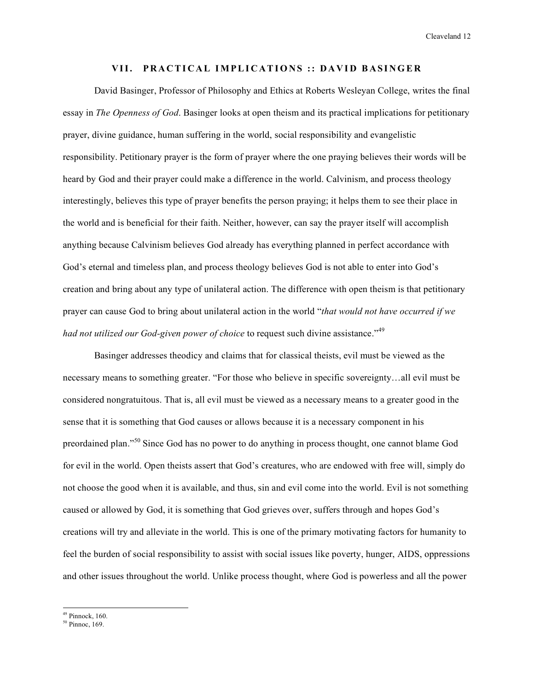### VII. PRACTICAL IMPLICATIONS :: DAVID BASINGER

David Basinger, Professor of Philosophy and Ethics at Roberts Wesleyan College, writes the final essay in *The Openness of God*. Basinger looks at open theism and its practical implications for petitionary prayer, divine guidance, human suffering in the world, social responsibility and evangelistic responsibility. Petitionary prayer is the form of prayer where the one praying believes their words will be heard by God and their prayer could make a difference in the world. Calvinism, and process theology interestingly, believes this type of prayer benefits the person praying; it helps them to see their place in the world and is beneficial for their faith. Neither, however, can say the prayer itself will accomplish anything because Calvinism believes God already has everything planned in perfect accordance with God's eternal and timeless plan, and process theology believes God is not able to enter into God's creation and bring about any type of unilateral action. The difference with open theism is that petitionary prayer can cause God to bring about unilateral action in the world "*that would not have occurred if we had not utilized our God-given power of choice* to request such divine assistance."<sup>49</sup>

Basinger addresses theodicy and claims that for classical theists, evil must be viewed as the necessary means to something greater. "For those who believe in specific sovereignty…all evil must be considered nongratuitous. That is, all evil must be viewed as a necessary means to a greater good in the sense that it is something that God causes or allows because it is a necessary component in his preordained plan."<sup>50</sup> Since God has no power to do anything in process thought, one cannot blame God for evil in the world. Open theists assert that God's creatures, who are endowed with free will, simply do not choose the good when it is available, and thus, sin and evil come into the world. Evil is not something caused or allowed by God, it is something that God grieves over, suffers through and hopes God's creations will try and alleviate in the world. This is one of the primary motivating factors for humanity to feel the burden of social responsibility to assist with social issues like poverty, hunger, AIDS, oppressions and other issues throughout the world. Unlike process thought, where God is powerless and all the power

 $49$  Pinnock, 160.

<sup>50</sup> Pinnoc, 169.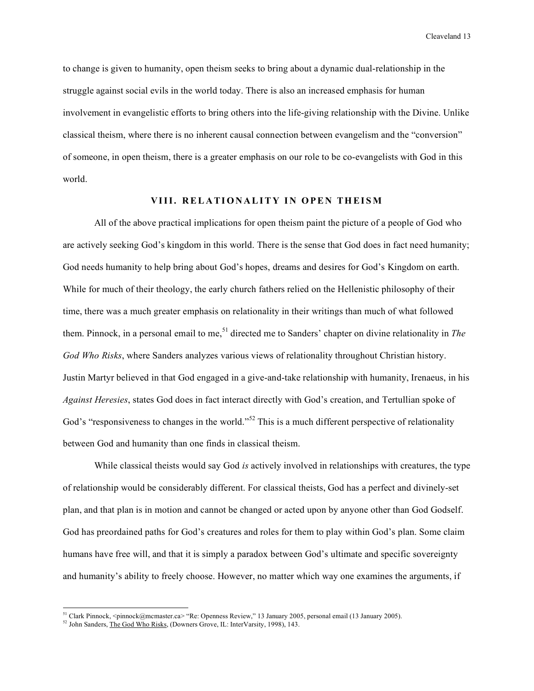to change is given to humanity, open theism seeks to bring about a dynamic dual-relationship in the struggle against social evils in the world today. There is also an increased emphasis for human involvement in evangelistic efforts to bring others into the life-giving relationship with the Divine. Unlike classical theism, where there is no inherent causal connection between evangelism and the "conversion" of someone, in open theism, there is a greater emphasis on our role to be co-evangelists with God in this world.

## **VIII. R EL A TI ON A LIT Y I N OPE N THEI SM**

All of the above practical implications for open theism paint the picture of a people of God who are actively seeking God's kingdom in this world. There is the sense that God does in fact need humanity; God needs humanity to help bring about God's hopes, dreams and desires for God's Kingdom on earth. While for much of their theology, the early church fathers relied on the Hellenistic philosophy of their time, there was a much greater emphasis on relationality in their writings than much of what followed them. Pinnock, in a personal email to me,<sup>51</sup> directed me to Sanders' chapter on divine relationality in *The God Who Risks*, where Sanders analyzes various views of relationality throughout Christian history. Justin Martyr believed in that God engaged in a give-and-take relationship with humanity, Irenaeus, in his *Against Heresies*, states God does in fact interact directly with God's creation, and Tertullian spoke of God's "responsiveness to changes in the world."<sup>52</sup> This is a much different perspective of relationality between God and humanity than one finds in classical theism.

While classical theists would say God *is* actively involved in relationships with creatures, the type of relationship would be considerably different. For classical theists, God has a perfect and divinely-set plan, and that plan is in motion and cannot be changed or acted upon by anyone other than God Godself. God has preordained paths for God's creatures and roles for them to play within God's plan. Some claim humans have free will, and that it is simply a paradox between God's ultimate and specific sovereignty and humanity's ability to freely choose. However, no matter which way one examines the arguments, if

<sup>&</sup>lt;sup>51</sup> Clark Pinnock, <pinnock@mcmaster.ca> "Re: Openness Review," 13 January 2005, personal email (13 January 2005).

<sup>&</sup>lt;sup>52</sup> John Sanders, The God Who Risks, (Downers Grove, IL: InterVarsity, 1998), 143.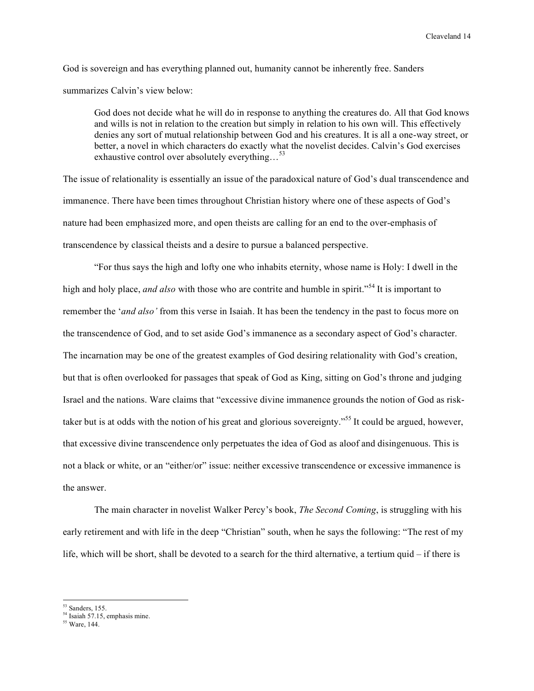God is sovereign and has everything planned out, humanity cannot be inherently free. Sanders summarizes Calvin's view below:

God does not decide what he will do in response to anything the creatures do. All that God knows and wills is not in relation to the creation but simply in relation to his own will. This effectively denies any sort of mutual relationship between God and his creatures. It is all a one-way street, or better, a novel in which characters do exactly what the novelist decides. Calvin's God exercises exhaustive control over absolutely everything...<sup>53</sup>

The issue of relationality is essentially an issue of the paradoxical nature of God's dual transcendence and immanence. There have been times throughout Christian history where one of these aspects of God's nature had been emphasized more, and open theists are calling for an end to the over-emphasis of transcendence by classical theists and a desire to pursue a balanced perspective.

"For thus says the high and lofty one who inhabits eternity, whose name is Holy: I dwell in the high and holy place, *and also* with those who are contrite and humble in spirit."<sup>54</sup> It is important to remember the '*and also'* from this verse in Isaiah. It has been the tendency in the past to focus more on the transcendence of God, and to set aside God's immanence as a secondary aspect of God's character. The incarnation may be one of the greatest examples of God desiring relationality with God's creation, but that is often overlooked for passages that speak of God as King, sitting on God's throne and judging Israel and the nations. Ware claims that "excessive divine immanence grounds the notion of God as risktaker but is at odds with the notion of his great and glorious sovereignty."<sup>55</sup> It could be argued, however, that excessive divine transcendence only perpetuates the idea of God as aloof and disingenuous. This is not a black or white, or an "either/or" issue: neither excessive transcendence or excessive immanence is the answer.

The main character in novelist Walker Percy's book, *The Second Coming*, is struggling with his early retirement and with life in the deep "Christian" south, when he says the following: "The rest of my life, which will be short, shall be devoted to a search for the third alternative, a tertium quid – if there is

<sup>53</sup> Sanders, 155.

<sup>&</sup>lt;sup>54</sup> Isaiah 57.15, emphasis mine.

<sup>55</sup> Ware, 144.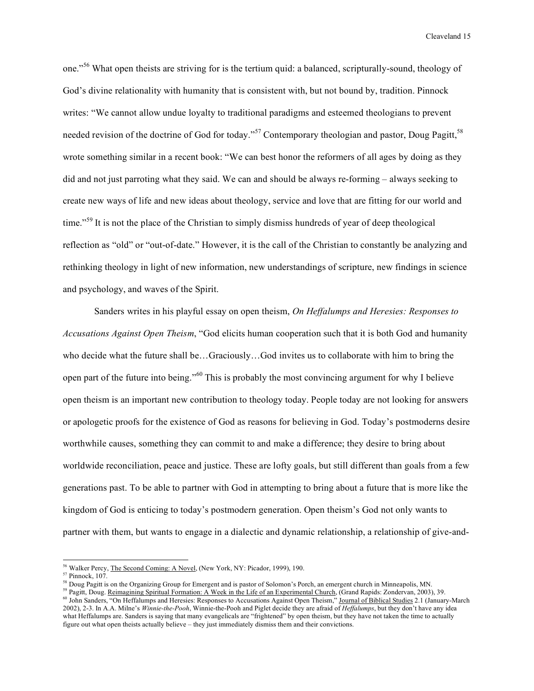one."<sup>56</sup> What open theists are striving for is the tertium quid: a balanced, scripturally-sound, theology of God's divine relationality with humanity that is consistent with, but not bound by, tradition. Pinnock writes: "We cannot allow undue loyalty to traditional paradigms and esteemed theologians to prevent needed revision of the doctrine of God for today."<sup>57</sup> Contemporary theologian and pastor, Doug Pagitt,<sup>58</sup> wrote something similar in a recent book: "We can best honor the reformers of all ages by doing as they did and not just parroting what they said. We can and should be always re-forming – always seeking to create new ways of life and new ideas about theology, service and love that are fitting for our world and time."<sup>59</sup> It is not the place of the Christian to simply dismiss hundreds of year of deep theological reflection as "old" or "out-of-date." However, it is the call of the Christian to constantly be analyzing and rethinking theology in light of new information, new understandings of scripture, new findings in science and psychology, and waves of the Spirit.

Sanders writes in his playful essay on open theism, *On Heffalumps and Heresies: Responses to Accusations Against Open Theism*, "God elicits human cooperation such that it is both God and humanity who decide what the future shall be…Graciously…God invites us to collaborate with him to bring the open part of the future into being."<sup>60</sup> This is probably the most convincing argument for why I believe open theism is an important new contribution to theology today. People today are not looking for answers or apologetic proofs for the existence of God as reasons for believing in God. Today's postmoderns desire worthwhile causes, something they can commit to and make a difference; they desire to bring about worldwide reconciliation, peace and justice. These are lofty goals, but still different than goals from a few generations past. To be able to partner with God in attempting to bring about a future that is more like the kingdom of God is enticing to today's postmodern generation. Open theism's God not only wants to partner with them, but wants to engage in a dialectic and dynamic relationship, a relationship of give-and-

<sup>59</sup> Pagitt, Doug. Reimagining Spiritual Formation: A Week in the Life of an Experimental Church, (Grand Rapids: Zondervan, 2003), 39.

<sup>56</sup> Walker Percy, The Second Coming: A Novel, (New York, NY: Picador, 1999), 190.

<sup>57</sup> Pinnock, 107.

<sup>&</sup>lt;sup>58</sup> Doug Pagitt is on the Organizing Group for Emergent and is pastor of Solomon's Porch, an emergent church in Minneapolis, MN.

<sup>&</sup>lt;sup>60</sup> John Sanders, "On Heffalumps and Heresies: Responses to Accusations Against Open Theism," Journal of Biblical Studies 2.1 (January-March 2002), 2-3. In A.A. Milne's *Winnie-the-Pooh*, Winnie-the-Pooh and Piglet decide they are afraid of *Heffalumps*, but they don't have any idea what Heffalumps are. Sanders is saying that many evangelicals are "frightened" by open theism, but they have not taken the time to actually figure out what open theists actually believe – they just immediately dismiss them and their convictions.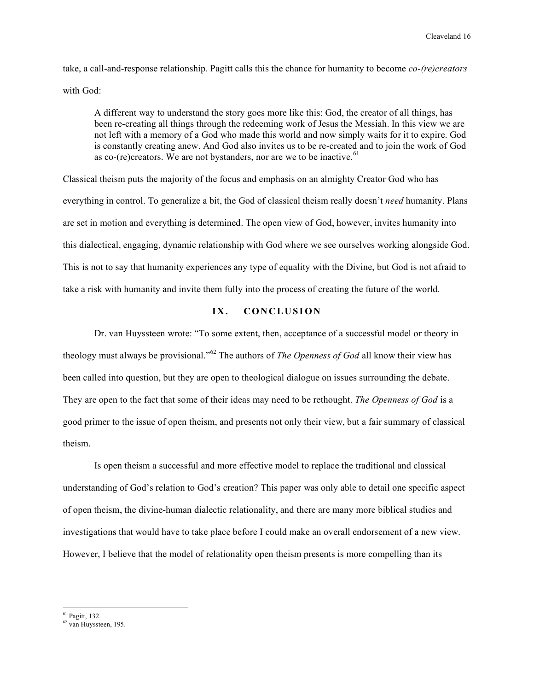take, a call-and-response relationship. Pagitt calls this the chance for humanity to become *co-(re)creators* with God:

A different way to understand the story goes more like this: God, the creator of all things, has been re-creating all things through the redeeming work of Jesus the Messiah. In this view we are not left with a memory of a God who made this world and now simply waits for it to expire. God is constantly creating anew. And God also invites us to be re-created and to join the work of God as co-(re)creators. We are not bystanders, nor are we to be inactive.<sup>61</sup>

Classical theism puts the majority of the focus and emphasis on an almighty Creator God who has everything in control. To generalize a bit, the God of classical theism really doesn't *need* humanity. Plans are set in motion and everything is determined. The open view of God, however, invites humanity into this dialectical, engaging, dynamic relationship with God where we see ourselves working alongside God. This is not to say that humanity experiences any type of equality with the Divine, but God is not afraid to take a risk with humanity and invite them fully into the process of creating the future of the world.

#### **IX . CON C L U S I ON**

Dr. van Huyssteen wrote: "To some extent, then, acceptance of a successful model or theory in theology must always be provisional." <sup>62</sup> The authors of *The Openness of God* all know their view has been called into question, but they are open to theological dialogue on issues surrounding the debate. They are open to the fact that some of their ideas may need to be rethought. *The Openness of God* is a good primer to the issue of open theism, and presents not only their view, but a fair summary of classical theism.

Is open theism a successful and more effective model to replace the traditional and classical understanding of God's relation to God's creation? This paper was only able to detail one specific aspect of open theism, the divine-human dialectic relationality, and there are many more biblical studies and investigations that would have to take place before I could make an overall endorsement of a new view. However, I believe that the model of relationality open theism presents is more compelling than its

<sup>61</sup> Pagitt, 132.

<sup>62</sup> van Huyssteen, 195.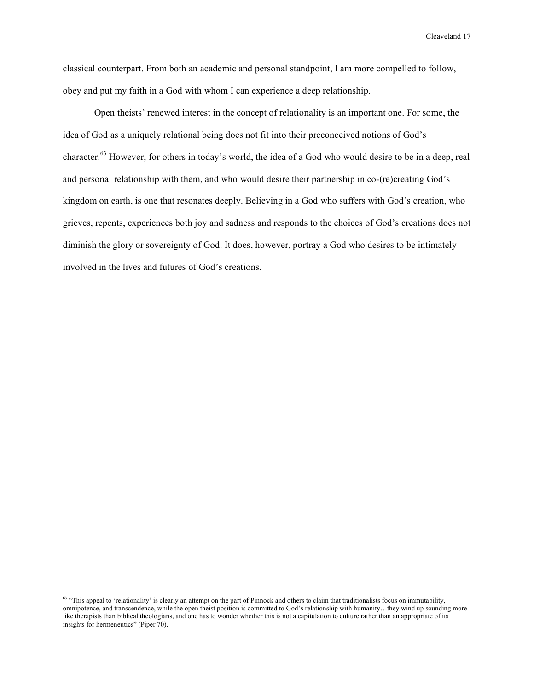classical counterpart. From both an academic and personal standpoint, I am more compelled to follow, obey and put my faith in a God with whom I can experience a deep relationship.

Open theists' renewed interest in the concept of relationality is an important one. For some, the idea of God as a uniquely relational being does not fit into their preconceived notions of God's character.<sup>63</sup> However, for others in today's world, the idea of a God who would desire to be in a deep, real and personal relationship with them, and who would desire their partnership in co-(re)creating God's kingdom on earth, is one that resonates deeply. Believing in a God who suffers with God's creation, who grieves, repents, experiences both joy and sadness and responds to the choices of God's creations does not diminish the glory or sovereignty of God. It does, however, portray a God who desires to be intimately involved in the lives and futures of God's creations.

 $63$  "This appeal to 'relationality' is clearly an attempt on the part of Pinnock and others to claim that traditionalists focus on immutability, omnipotence, and transcendence, while the open theist position is committed to God's relationship with humanity…they wind up sounding more like therapists than biblical theologians, and one has to wonder whether this is not a capitulation to culture rather than an appropriate of its insights for hermeneutics" (Piper 70).